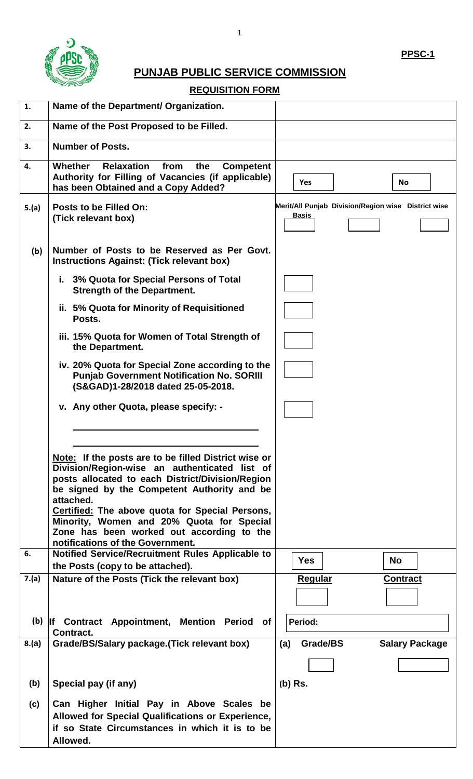

## **PUNJAB PUBLIC SERVICE COMMISSION**

### **REQUISITION FORM**

| 1.    | Name of the Department/ Organization.                                                                                                                                                                                 |                                                                     |
|-------|-----------------------------------------------------------------------------------------------------------------------------------------------------------------------------------------------------------------------|---------------------------------------------------------------------|
| 2.    | Name of the Post Proposed to be Filled.                                                                                                                                                                               |                                                                     |
| 3.    | <b>Number of Posts.</b>                                                                                                                                                                                               |                                                                     |
| 4.    | Whether<br><b>Relaxation</b><br>from<br>the<br><b>Competent</b><br>Authority for Filling of Vacancies (if applicable)<br>has been Obtained and a Copy Added?                                                          | Yes<br><b>No</b>                                                    |
| 5.(a) | Posts to be Filled On:<br>(Tick relevant box)                                                                                                                                                                         | Merit/All Punjab Division/Region wise District wise<br><b>Basis</b> |
| (b)   | Number of Posts to be Reserved as Per Govt.<br><b>Instructions Against: (Tick relevant box)</b>                                                                                                                       |                                                                     |
|       | i. 3% Quota for Special Persons of Total<br><b>Strength of the Department.</b>                                                                                                                                        |                                                                     |
|       | ii. 5% Quota for Minority of Requisitioned<br>Posts.                                                                                                                                                                  |                                                                     |
|       | iii. 15% Quota for Women of Total Strength of<br>the Department.                                                                                                                                                      |                                                                     |
|       | iv. 20% Quota for Special Zone according to the<br><b>Punjab Government Notification No. SORIII</b><br>(S&GAD)1-28/2018 dated 25-05-2018.                                                                             |                                                                     |
|       | v. Any other Quota, please specify: -                                                                                                                                                                                 |                                                                     |
|       |                                                                                                                                                                                                                       |                                                                     |
|       | Note: If the posts are to be filled District wise or<br>Division/Region-wise an authenticated list of<br>posts allocated to each District/Division/Region<br>be signed by the Competent Authority and be<br>attached. |                                                                     |
|       | Certified: The above quota for Special Persons,<br>Minority, Women and 20% Quota for Special<br>Zone has been worked out according to the<br>notifications of the Government.                                         |                                                                     |
| 6.    | Notified Service/Recruitment Rules Applicable to<br>the Posts (copy to be attached).                                                                                                                                  | <b>Yes</b><br><b>No</b>                                             |
| 7.(a) | Nature of the Posts (Tick the relevant box)                                                                                                                                                                           | <b>Regular</b><br><b>Contract</b>                                   |
| (b)   | If Contract Appointment, Mention Period<br>of<br>Contract.                                                                                                                                                            | Period:                                                             |
| 8.(a) | Grade/BS/Salary package. (Tick relevant box)                                                                                                                                                                          | Grade/BS<br><b>Salary Package</b><br>(a)                            |
|       |                                                                                                                                                                                                                       |                                                                     |
| (b)   | Special pay (if any)                                                                                                                                                                                                  | $(b)$ Rs.                                                           |
| (c)   | Can Higher Initial Pay in Above Scales be<br>Allowed for Special Qualifications or Experience,<br>if so State Circumstances in which it is to be<br>Allowed.                                                          |                                                                     |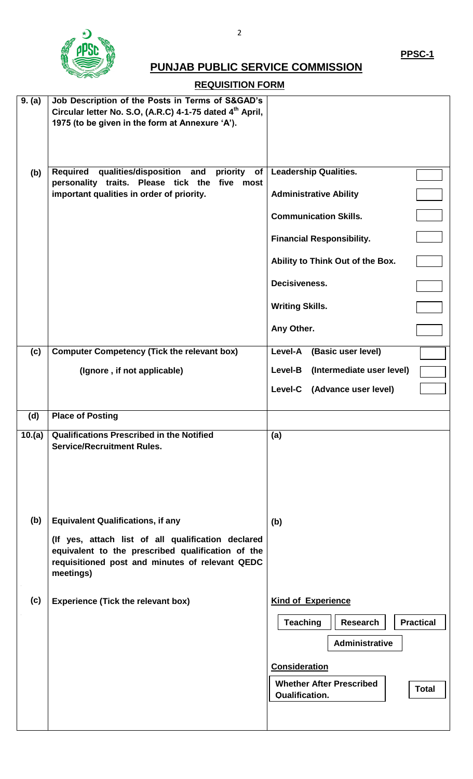

# **PUNJAB PUBLIC SERVICE COMMISSION**

## **REQUISITION FORM**

| 9. (a) | Job Description of the Posts in Terms of S&GAD's<br>Circular letter No. S.O, (A.R.C) 4-1-75 dated 4 <sup>th</sup> April,<br>1975 (to be given in the form at Annexure 'A'). |                                                                   |
|--------|-----------------------------------------------------------------------------------------------------------------------------------------------------------------------------|-------------------------------------------------------------------|
| (b)    | Required<br>qualities/disposition and<br>priority<br>of<br>personality traits. Please tick the five most<br>important qualities in order of priority.                       | <b>Leadership Qualities.</b>                                      |
|        |                                                                                                                                                                             | <b>Administrative Ability</b>                                     |
|        |                                                                                                                                                                             | <b>Communication Skills.</b>                                      |
|        |                                                                                                                                                                             | <b>Financial Responsibility.</b>                                  |
|        |                                                                                                                                                                             | Ability to Think Out of the Box.                                  |
|        |                                                                                                                                                                             | Decisiveness.                                                     |
|        |                                                                                                                                                                             | <b>Writing Skills.</b>                                            |
|        |                                                                                                                                                                             | Any Other.                                                        |
| (c)    | <b>Computer Competency (Tick the relevant box)</b>                                                                                                                          | Level-A<br>(Basic user level)                                     |
|        | (Ignore, if not applicable)                                                                                                                                                 | (Intermediate user level)<br>Level-B                              |
|        |                                                                                                                                                                             | Level-C (Advance user level)                                      |
| (d)    | <b>Place of Posting</b>                                                                                                                                                     |                                                                   |
| 10.(a) | <b>Qualifications Prescribed in the Notified</b>                                                                                                                            | (a)                                                               |
|        | <b>Service/Recruitment Rules.</b>                                                                                                                                           |                                                                   |
|        |                                                                                                                                                                             |                                                                   |
| (b)    | <b>Equivalent Qualifications, if any</b>                                                                                                                                    | (b)                                                               |
|        | (If yes, attach list of all qualification declared<br>equivalent to the prescribed qualification of the<br>requisitioned post and minutes of relevant QEDC<br>meetings)     |                                                                   |
| (c)    | <b>Experience (Tick the relevant box)</b>                                                                                                                                   | <b>Kind of Experience</b>                                         |
|        |                                                                                                                                                                             | <b>Teaching</b><br><b>Practical</b><br><b>Research</b>            |
|        |                                                                                                                                                                             | <b>Administrative</b>                                             |
|        |                                                                                                                                                                             | <b>Consideration</b>                                              |
|        |                                                                                                                                                                             | <b>Whether After Prescribed</b><br><b>Total</b><br>Qualification. |
|        |                                                                                                                                                                             |                                                                   |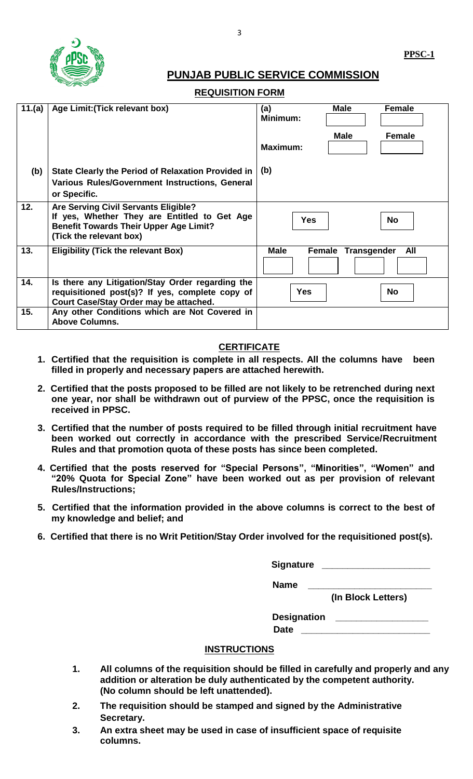

### **PUNJAB PUBLIC SERVICE COMMISSION**

#### **REQUISITION FORM**

| 11.(a) | Age Limit: (Tick relevant box)                                                                                                                                   | Male<br><b>Female</b><br>(a)<br>Minimum: |
|--------|------------------------------------------------------------------------------------------------------------------------------------------------------------------|------------------------------------------|
|        |                                                                                                                                                                  | <b>Male</b><br><b>Female</b><br>Maximum: |
| (b)    | State Clearly the Period of Relaxation Provided in                                                                                                               | (b)                                      |
|        | <b>Various Rules/Government Instructions, General</b><br>or Specific.                                                                                            |                                          |
| 12.    | Are Serving Civil Servants Eligible?<br>If yes, Whether They are Entitled to Get Age<br><b>Benefit Towards Their Upper Age Limit?</b><br>(Tick the relevant box) | <b>Yes</b><br><b>No</b>                  |
| 13.    | <b>Eligibility (Tick the relevant Box)</b>                                                                                                                       | All<br><b>Male</b><br>Female Transgender |
| 14.    | Is there any Litigation/Stay Order regarding the<br>requisitioned post(s)? If yes, complete copy of<br>Court Case/Stay Order may be attached.                    | <b>Yes</b><br><b>No</b>                  |
| 15.    | Any other Conditions which are Not Covered in<br><b>Above Columns.</b>                                                                                           |                                          |

#### **CERTIFICATE**

- **1. Certified that the requisition is complete in all respects. All the columns have been filled in properly and necessary papers are attached herewith.**
- **2. Certified that the posts proposed to be filled are not likely to be retrenched during next one year, nor shall be withdrawn out of purview of the PPSC, once the requisition is received in PPSC.**
- **3. Certified that the number of posts required to be filled through initial recruitment have been worked out correctly in accordance with the prescribed Service/Recruitment Rules and that promotion quota of these posts has since been completed.**
- **4. Certified that the posts reserved for "Special Persons", "Minorities", "Women" and "20% Quota for Special Zone" have been worked out as per provision of relevant Rules/Instructions;**
- **5. Certified that the information provided in the above columns is correct to the best of my knowledge and belief; and**
- **6. Certified that there is no Writ Petition/Stay Order involved for the requisitioned post(s).**

**Signature \_\_\_\_\_\_\_\_\_\_\_\_\_\_\_\_\_\_\_\_\_**

 **Name \_\_\_\_\_\_\_\_\_\_\_\_\_\_\_\_\_\_\_\_\_\_\_\_**

 **(In Block Letters)**

**Designation \_\_\_\_\_\_\_\_\_\_\_\_\_\_\_\_\_\_ Date \_\_\_\_\_\_\_\_\_\_\_\_\_\_\_\_\_\_\_\_\_\_\_\_\_**

#### **INSTRUCTIONS**

- **1. All columns of the requisition should be filled in carefully and properly and any addition or alteration be duly authenticated by the competent authority. (No column should be left unattended).**
- **2. The requisition should be stamped and signed by the Administrative Secretary.**
- **3. An extra sheet may be used in case of insufficient space of requisite columns.**